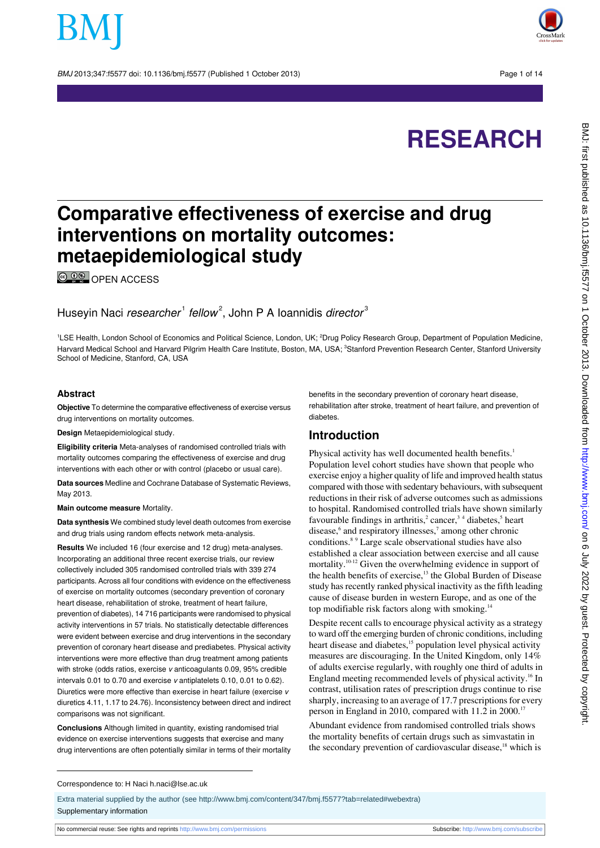BMJ 2013:347:f5577 doi: 10.1136/bmi.f5577 (Published 1 October 2013) Page 1 of 14



# **RESEARCH**

## **Comparative effectiveness of exercise and drug interventions on mortality outcomes: metaepidemiological study**

**© PE [OPEN ACCESS](http://creativecommons.org/licenses/by-nc/3.0/)** 

## Huseyin Naci *researcher<sup>1</sup> fellow<sup>2</sup>,* John P A Ioannidis *director<sup>3</sup>*

<sup>1</sup>LSE Health, London School of Economics and Political Science, London, UK; <sup>2</sup>Drug Policy Research Group, Department of Population Medicine, Harvard Medical School and Harvard Pilgrim Health Care Institute, Boston, MA, USA; <sup>3</sup>Stanford Prevention Research Center, Stanford University School of Medicine, Stanford, CA, USA

#### **Abstract**

**Objective** To determine the comparative effectiveness of exercise versus drug interventions on mortality outcomes.

**Design** Metaepidemiological study.

**Eligibility criteria** Meta-analyses of randomised controlled trials with mortality outcomes comparing the effectiveness of exercise and drug interventions with each other or with control (placebo or usual care).

**Data sources** Medline and Cochrane Database of Systematic Reviews, May 2013.

#### **Main outcome measure** Mortality.

**Data synthesis** We combined study level death outcomes from exercise and drug trials using random effects network meta-analysis.

**Results** We included 16 (four exercise and 12 drug) meta-analyses. Incorporating an additional three recent exercise trials, our review collectively included 305 randomised controlled trials with 339 274 participants. Across all four conditions with evidence on the effectiveness of exercise on mortality outcomes (secondary prevention of coronary heart disease, rehabilitation of stroke, treatment of heart failure, prevention of diabetes), 14 716 participants were randomised to physical activity interventions in 57 trials. No statistically detectable differences were evident between exercise and drug interventions in the secondary prevention of coronary heart disease and prediabetes. Physical activity interventions were more effective than drug treatment among patients with stroke (odds ratios, exercise v anticoagulants 0.09, 95% credible intervals 0.01 to 0.70 and exercise v antiplatelets 0.10, 0.01 to 0.62). Diuretics were more effective than exercise in heart failure (exercise v diuretics 4.11, 1.17 to 24.76). Inconsistency between direct and indirect comparisons was not significant.

**Conclusions** Although limited in quantity, existing randomised trial evidence on exercise interventions suggests that exercise and many drug interventions are often potentially similar in terms of their mortality

benefits in the secondary prevention of coronary heart disease, rehabilitation after stroke, treatment of heart failure, and prevention of diabetes.

#### **Introduction**

Physical activity has well documented health benefits.<sup>1</sup> Population level cohort studies have shown that people who exercise enjoy a higher quality of life and improved health status compared with those with sedentary behaviours, with subsequent reductions in their risk of adverse outcomes such as admissions to hospital. Randomised controlled trials have shown similarly favourable findings in arthritis, $2$  cancer,  $3<sup>4</sup>$  diabetes,  $5$  heart disease,<sup>6</sup> and respiratory illnesses,<sup>7</sup> among other chronic conditions.8 9 Large scale observational studies have also established a clear association between exercise and all cause mortality.10-12 Given the overwhelming evidence in support of the health benefits of exercise,<sup>13</sup> the Global Burden of Disease study has recently ranked physical inactivity as the fifth leading cause of disease burden in western Europe, and as one of the top modifiable risk factors along with smoking.<sup>14</sup>

Despite recent calls to encourage physical activity as a strategy to ward off the emerging burden of chronic conditions, including heart disease and diabetes,<sup>15</sup> population level physical activity measures are discouraging. In the United Kingdom, only 14% of adults exercise regularly, with roughly one third of adults in England meeting recommended levels of physical activity.<sup>16</sup> In contrast, utilisation rates of prescription drugs continue to rise sharply, increasing to an average of 17.7 prescriptions for every person in England in 2010, compared with 11.2 in 2000.<sup>17</sup>

Abundant evidence from randomised controlled trials shows the mortality benefits of certain drugs such as simvastatin in the secondary prevention of cardiovascular disease, $18$  which is

#### Correspondence to: H Naci h.naci@lse.ac.uk

Extra material supplied by the author (see [http://www.bmj.com/content/347/bmj.f5577?tab=related#webextra\)](http://www.bmj.com/content/347/bmj.f5577?tab=related#webextra) Supplementary information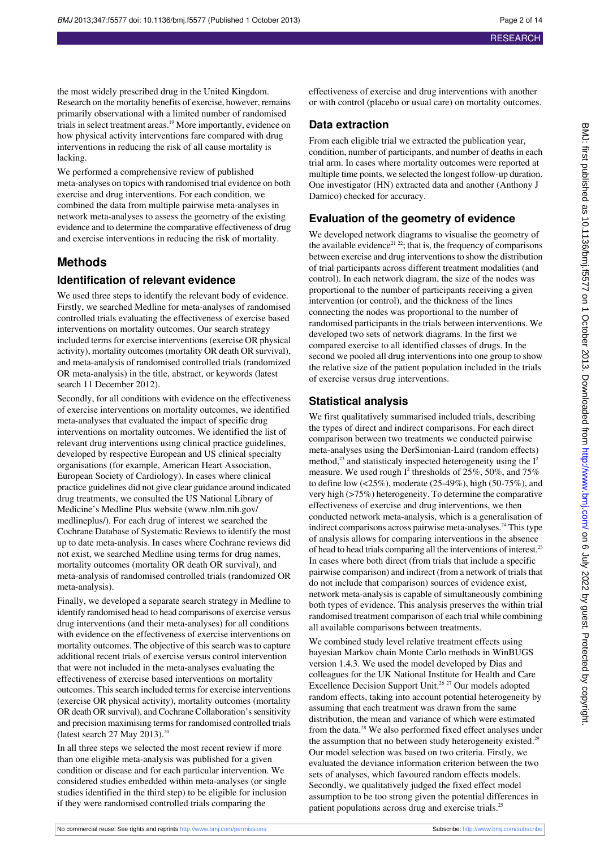the most widely prescribed drug in the United Kingdom. Research on the mortality benefits of exercise, however, remains primarily observational with a limited number of randomised trials in select treatment areas.<sup>19</sup> More importantly, evidence on how physical activity interventions fare compared with drug interventions in reducing the risk of all cause mortality is lacking.

We performed a comprehensive review of published meta-analyses on topics with randomised trial evidence on both exercise and drug interventions. For each condition, we combined the data from multiple pairwise meta-analyses in network meta-analyses to assess the geometry of the existing evidence and to determine the comparative effectiveness of drug and exercise interventions in reducing the risk of mortality.

### **Methods**

#### **Identification of relevant evidence**

We used three steps to identify the relevant body of evidence. Firstly, we searched Medline for meta-analyses of randomised controlled trials evaluating the effectiveness of exercise based interventions on mortality outcomes. Our search strategy included terms for exercise interventions (exercise OR physical activity), mortality outcomes (mortality OR death OR survival), and meta-analysis of randomised controlled trials (randomized OR meta-analysis) in the title, abstract, or keywords (latest search 11 December 2012).

Secondly, for all conditions with evidence on the effectiveness of exercise interventions on mortality outcomes, we identified meta-analyses that evaluated the impact of specific drug interventions on mortality outcomes. We identified the list of relevant drug interventions using clinical practice guidelines, developed by respective European and US clinical specialty organisations (for example, American Heart Association, European Society of Cardiology). In cases where clinical practice guidelines did not give clear guidance around indicated drug treatments, we consulted the US National Library of Medicine's Medline Plus website [\(www.nlm.nih.gov/](http://www.nlm.nih.gov/medlineplus/) [medlineplus/\)](http://www.nlm.nih.gov/medlineplus/). For each drug of interest we searched the Cochrane Database of Systematic Reviews to identify the most up to date meta-analysis. In cases where Cochrane reviews did not exist, we searched Medline using terms for drug names, mortality outcomes (mortality OR death OR survival), and meta-analysis of randomised controlled trials (randomized OR meta-analysis).

Finally, we developed a separate search strategy in Medline to identify randomised head to head comparisons of exercise versus drug interventions (and their meta-analyses) for all conditions with evidence on the effectiveness of exercise interventions on mortality outcomes. The objective of this search was to capture additional recent trials of exercise versus control intervention that were not included in the meta-analyses evaluating the effectiveness of exercise based interventions on mortality outcomes. This search included terms for exercise interventions (exercise OR physical activity), mortality outcomes (mortality OR death OR survival), and Cochrane Collaboration's sensitivity and precision maximising terms for randomised controlled trials (latest search 27 May 2013).<sup>20</sup>

In all three steps we selected the most recent review if more than one eligible meta-analysis was published for a given condition or disease and for each particular intervention. We considered studies embedded within meta-analyses (or single studies identified in the third step) to be eligible for inclusion if they were randomised controlled trials comparing the

effectiveness of exercise and drug interventions with another or with control (placebo or usual care) on mortality outcomes.

#### **Data extraction**

From each eligible trial we extracted the publication year, condition, number of participants, and number of deaths in each trial arm. In cases where mortality outcomes were reported at multiple time points, we selected the longest follow-up duration. One investigator (HN) extracted data and another (Anthony J Damico) checked for accuracy.

#### **Evaluation of the geometry of evidence**

We developed network diagrams to visualise the geometry of the available evidence<sup>21 22</sup>; that is, the frequency of comparisons between exercise and drug interventions to show the distribution of trial participants across different treatment modalities (and control). In each network diagram, the size of the nodes was proportional to the number of participants receiving a given intervention (or control), and the thickness of the lines connecting the nodes was proportional to the number of randomised participants in the trials between interventions. We developed two sets of network diagrams. In the first we compared exercise to all identified classes of drugs. In the second we pooled all drug interventions into one group to show the relative size of the patient population included in the trials of exercise versus drug interventions.

#### **Statistical analysis**

We first qualitatively summarised included trials, describing the types of direct and indirect comparisons. For each direct comparison between two treatments we conducted pairwise meta-analyses using the DerSimonian-Laird (random effects) method,<sup>23</sup> and statisticaly inspected heterogeneity using the  $I^2$ measure. We used rough  $I^2$  thresholds of 25%, 50%, and 75% to define low (<25%), moderate (25-49%), high (50-75%), and very high (>75%) heterogeneity. To determine the comparative effectiveness of exercise and drug interventions, we then conducted network meta-analysis, which is a generalisation of indirect comparisons across pairwise meta-analyses.<sup>24</sup> This type of analysis allows for comparing interventions in the absence of head to head trials comparing all the interventions of interest.<sup>25</sup> In cases where both direct (from trials that include a specific pairwise comparison) and indirect (from a network of trials that do not include that comparison) sources of evidence exist, network meta-analysis is capable of simultaneously combining both types of evidence. This analysis preserves the within trial randomised treatment comparison of each trial while combining all available comparisons between treatments.

We combined study level relative treatment effects using bayesian Markov chain Monte Carlo methods in WinBUGS version 1.4.3. We used the model developed by Dias and colleagues for the UK National Institute for Health and Care Excellence Decision Support Unit.<sup>26 27</sup> Our models adopted random effects, taking into account potential heterogeneity by assuming that each treatment was drawn from the same distribution, the mean and variance of which were estimated from the data.<sup>28</sup> We also performed fixed effect analyses under the assumption that no between study heterogeneity existed.<sup>29</sup> Our model selection was based on two criteria. Firstly, we evaluated the deviance information criterion between the two sets of analyses, which favoured random effects models. Secondly, we qualitatively judged the fixed effect model assumption to be too strong given the potential differences in patient populations across drug and exercise trials.<sup>25</sup>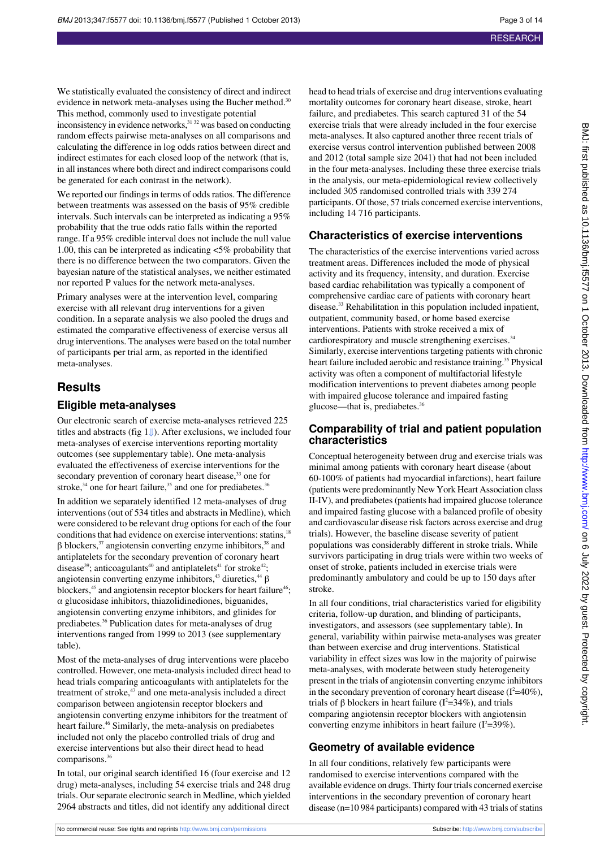We statistically evaluated the consistency of direct and indirect evidence in network meta-analyses using the Bucher method.<sup>30</sup> This method, commonly used to investigate potential

inconsistency in evidence networks,<sup>31 32</sup> was based on conducting random effects pairwise meta-analyses on all comparisons and calculating the difference in log odds ratios between direct and indirect estimates for each closed loop of the network (that is, in all instances where both direct and indirect comparisons could be generated for each contrast in the network).

We reported our findings in terms of odds ratios. The difference between treatments was assessed on the basis of 95% credible intervals. Such intervals can be interpreted as indicating a 95% probability that the true odds ratio falls within the reported range. If a 95% credible interval does not include the null value 1.00, this can be interpreted as indicating <5% probability that there is no difference between the two comparators. Given the bayesian nature of the statistical analyses, we neither estimated nor reported P values for the network meta-analyses.

Primary analyses were at the intervention level, comparing exercise with all relevant drug interventions for a given condition. In a separate analysis we also pooled the drugs and estimated the comparative effectiveness of exercise versus all drug interventions. The analyses were based on the total number of participants per trial arm, as reported in the identified meta-analyses.

## **Results Eligible meta-analyses**

Our electronic search of exercise meta-analyses retrieved 225 titles and abstracts (fig1[⇓\)](#page-12-0). After exclusions, we included four meta-analyses of exercise interventions reporting mortality outcomes (see supplementary table). One meta-analysis evaluated the effectiveness of exercise interventions for the secondary prevention of coronary heart disease,<sup>33</sup> one for stroke, $34$  one for heart failure,  $35$  and one for prediabetes.  $36$ 

In addition we separately identified 12 meta-analyses of drug interventions (out of 534 titles and abstracts in Medline), which were considered to be relevant drug options for each of the four conditions that had evidence on exercise interventions: statins,<sup>18</sup>  $β$  blockers,<sup>37</sup> angiotensin converting enzyme inhibitors,<sup>38</sup> and antiplatelets for the secondary prevention of coronary heart disease<sup>39</sup>; anticoagulants<sup>40</sup> and antiplatelets<sup>41</sup> for stroke<sup>42</sup>; angiotensin converting enzyme inhibitors,<sup>43</sup> diuretics,<sup>44</sup> β blockers, $45$  and angiotensin receptor blockers for heart failure $46$ ;  $\alpha$  glucosidase inhibitors, thiazolidinediones, biguanides, angiotensin converting enzyme inhibitors, and glinides for prediabetes.<sup>36</sup> Publication dates for meta-analyses of drug interventions ranged from 1999 to 2013 (see supplementary table).

Most of the meta-analyses of drug interventions were placebo controlled. However, one meta-analysis included direct head to head trials comparing anticoagulants with antiplatelets for the treatment of stroke,<sup>47</sup> and one meta-analysis included a direct comparison between angiotensin receptor blockers and angiotensin converting enzyme inhibitors for the treatment of heart failure.<sup>46</sup> Similarly, the meta-analysis on prediabetes included not only the placebo controlled trials of drug and exercise interventions but also their direct head to head comparisons.<sup>36</sup>

In total, our original search identified 16 (four exercise and 12 drug) meta-analyses, including 54 exercise trials and 248 drug trials. Our separate electronic search in Medline, which yielded 2964 abstracts and titles, did not identify any additional direct

head to head trials of exercise and drug interventions evaluating mortality outcomes for coronary heart disease, stroke, heart failure, and prediabetes. This search captured 31 of the 54 exercise trials that were already included in the four exercise meta-analyses. It also captured another three recent trials of exercise versus control intervention published between 2008 and 2012 (total sample size 2041) that had not been included in the four meta-analyses. Including these three exercise trials in the analysis, our meta-epidemiological review collectively included 305 randomised controlled trials with 339 274 participants. Of those, 57 trials concerned exercise interventions, including 14 716 participants.

### **Characteristics of exercise interventions**

The characteristics of the exercise interventions varied across treatment areas. Differences included the mode of physical activity and its frequency, intensity, and duration. Exercise based cardiac rehabilitation was typically a component of comprehensive cardiac care of patients with coronary heart disease.<sup>33</sup> Rehabilitation in this population included inpatient, outpatient, community based, or home based exercise interventions. Patients with stroke received a mix of cardiorespiratory and muscle strengthening exercises.<sup>34</sup> Similarly, exercise interventions targeting patients with chronic heart failure included aerobic and resistance training.<sup>35</sup> Physical activity was often a component of multifactorial lifestyle modification interventions to prevent diabetes among people with impaired glucose tolerance and impaired fasting glucose—that is, prediabetes.<sup>36</sup>

#### **Comparability of trial and patient population characteristics**

Conceptual heterogeneity between drug and exercise trials was minimal among patients with coronary heart disease (about 60-100% of patients had myocardial infarctions), heart failure (patients were predominantly New York Heart Association class II-IV), and prediabetes (patients had impaired glucose tolerance and impaired fasting glucose with a balanced profile of obesity and cardiovascular disease risk factors across exercise and drug trials). However, the baseline disease severity of patient populations was considerably different in stroke trials. While survivors participating in drug trials were within two weeks of onset of stroke, patients included in exercise trials were predominantly ambulatory and could be up to 150 days after stroke.

In all four conditions, trial characteristics varied for eligibility criteria, follow-up duration, and blinding of participants, investigators, and assessors (see supplementary table). In general, variability within pairwise meta-analyses was greater than between exercise and drug interventions. Statistical variability in effect sizes was low in the majority of pairwise meta-analyses, with moderate between study heterogeneity present in the trials of angiotensin converting enzyme inhibitors in the secondary prevention of coronary heart disease  $(I^2=40\%),$ trials of β blockers in heart failure ( $I^2$ =34%), and trials comparing angiotensin receptor blockers with angiotensin converting enzyme inhibitors in heart failure  $(I^2=39\%)$ .

### **Geometry of available evidence**

In all four conditions, relatively few participants were randomised to exercise interventions compared with the available evidence on drugs. Thirty four trials concerned exercise interventions in the secondary prevention of coronary heart disease (n=10 984 participants) compared with 43 trials of statins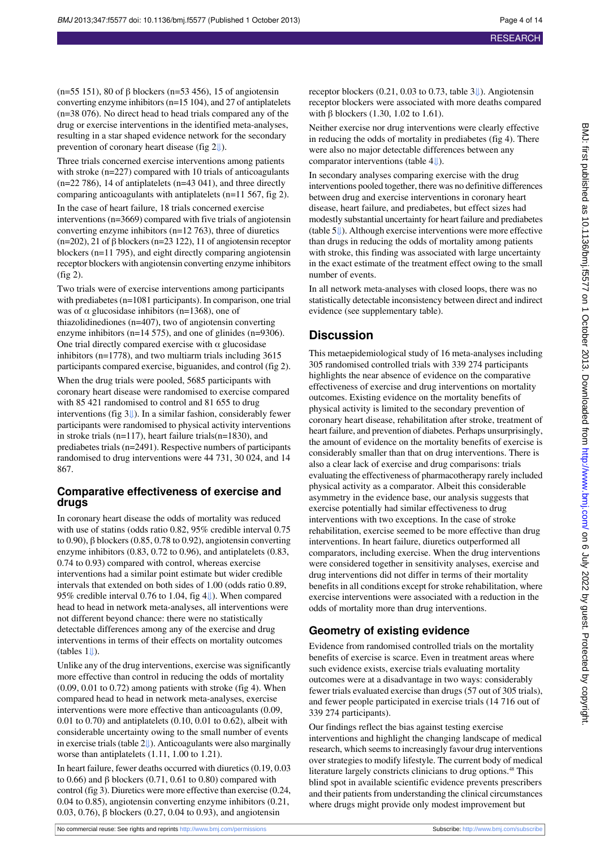(n=55 151), 80 of β blockers (n=53 456), 15 of angiotensin converting enzyme inhibitors (n=15 104), and 27 of antiplatelets (n=38 076). No direct head to head trials compared any of the drug or exercise interventions in the identified meta-analyses, resulting in a star shaped evidence network for the secondary prevention of coronary heart disease (fig2[⇓\)](#page-12-1).

Three trials concerned exercise interventions among patients with stroke (n=227) compared with 10 trials of anticoagulants  $(n=22 786)$ , 14 of antiplatelets  $(n=43 041)$ , and three directly comparing anticoagulants with antiplatelets (n=11 567, fig 2).

In the case of heart failure, 18 trials concerned exercise interventions (n=3669) compared with five trials of angiotensin converting enzyme inhibitors (n=12 763), three of diuretics (n=202), 21 of β blockers (n=23 122), 11 of angiotensin receptor blockers (n=11 795), and eight directly comparing angiotensin receptor blockers with angiotensin converting enzyme inhibitors (fig 2).

Two trials were of exercise interventions among participants with prediabetes (n=1081 participants). In comparison, one trial was of  $\alpha$  glucosidase inhibitors (n=1368), one of thiazolidinediones (n=407), two of angiotensin converting enzyme inhibitors (n=14 575), and one of glinides (n=9306). One trial directly compared exercise with  $\alpha$  glucosidase inhibitors (n=1778), and two multiarm trials including 3615 participants compared exercise, biguanides, and control (fig 2).

When the drug trials were pooled, 5685 participants with coronary heart disease were randomised to exercise compared with 85 421 randomised to control and 81 655 to drug interventions (fig3[⇓](#page-13-0)). In a similar fashion, considerably fewer participants were randomised to physical activity interventions in stroke trials (n=117), heart failure trials(n=1830), and prediabetes trials (n=2491). Respective numbers of participants randomised to drug interventions were 44 731, 30 024, and 14 867.

#### **Comparative effectiveness of exercise and drugs**

In coronary heart disease the odds of mortality was reduced with use of statins (odds ratio 0.82, 95% credible interval 0.75 to 0.90), β blockers (0.85, 0.78 to 0.92), angiotensin converting enzyme inhibitors (0.83, 0.72 to 0.96), and antiplatelets (0.83, 0.74 to 0.93) compared with control, whereas exercise interventions had a similar point estimate but wider credible intervals that extended on both sides of 1.00 (odds ratio 0.89, 95% credible interval 0.76 to 1.04, fig4[⇓\)](#page-13-1). When compared head to head in network meta-analyses, all interventions were not different beyond chance: there were no statistically detectable differences among any of the exercise and drug interventions in terms of their effects on mortality outcomes (tables  $1 \downarrow$ ).

Unlike any of the drug interventions, exercise was significantly more effective than control in reducing the odds of mortality (0.09, 0.01 to 0.72) among patients with stroke (fig 4). When compared head to head in network meta-analyses, exercise interventions were more effective than anticoagulants (0.09, 0.01 to 0.70) and antiplatelets (0.10, 0.01 to 0.62), albeit with considerable uncertainty owing to the small number of events in exercise trials (table [2⇓](#page-8-0)). Anticoagulants were also marginally worse than antiplatelets (1.11, 1.00 to 1.21).

In heart failure, fewer deaths occurred with diuretics (0.19, 0.03 to 0.66) and β blockers  $(0.71, 0.61$  to 0.80) compared with control (fig 3). Diuretics were more effective than exercise (0.24, 0.04 to 0.85), angiotensin converting enzyme inhibitors (0.21, 0.03, 0.76), β blockers (0.27, 0.04 to 0.93), and angiotensin

receptor blockers (0.21, 0.03 to 0.73, table [3⇓](#page-9-0)). Angiotensin receptor blockers were associated with more deaths compared with β blockers (1.30, 1.02 to 1.61).

Neither exercise nor drug interventions were clearly effective in reducing the odds of mortality in prediabetes (fig 4). There were also no major detectable differences between any comparator interventions (table [4⇓\)](#page-10-0).

In secondary analyses comparing exercise with the drug interventions pooled together, there was no definitive differences between drug and exercise interventions in coronary heart disease, heart failure, and prediabetes, but effect sizes had modestly substantial uncertainty for heart failure and prediabetes (table [5⇓](#page-11-0)). Although exercise interventions were more effective than drugs in reducing the odds of mortality among patients with stroke, this finding was associated with large uncertainty in the exact estimate of the treatment effect owing to the small number of events.

In all network meta-analyses with closed loops, there was no statistically detectable inconsistency between direct and indirect evidence (see supplementary table).

## **Discussion**

This metaepidemiological study of 16 meta-analyses including 305 randomised controlled trials with 339 274 participants highlights the near absence of evidence on the comparative effectiveness of exercise and drug interventions on mortality outcomes. Existing evidence on the mortality benefits of physical activity is limited to the secondary prevention of coronary heart disease, rehabilitation after stroke, treatment of heart failure, and prevention of diabetes. Perhaps unsurprisingly, the amount of evidence on the mortality benefits of exercise is considerably smaller than that on drug interventions. There is also a clear lack of exercise and drug comparisons: trials evaluating the effectiveness of pharmacotherapy rarely included physical activity as a comparator. Albeit this considerable asymmetry in the evidence base, our analysis suggests that exercise potentially had similar effectiveness to drug interventions with two exceptions. In the case of stroke rehabilitation, exercise seemed to be more effective than drug interventions. In heart failure, diuretics outperformed all comparators, including exercise. When the drug interventions were considered together in sensitivity analyses, exercise and drug interventions did not differ in terms of their mortality benefits in all conditions except for stroke rehabilitation, where exercise interventions were associated with a reduction in the odds of mortality more than drug interventions.

### **Geometry of existing evidence**

Evidence from randomised controlled trials on the mortality benefits of exercise is scarce. Even in treatment areas where such evidence exists, exercise trials evaluating mortality outcomes were at a disadvantage in two ways: considerably fewer trials evaluated exercise than drugs (57 out of 305 trials), and fewer people participated in exercise trials (14 716 out of 339 274 participants).

Our findings reflect the bias against testing exercise interventions and highlight the changing landscape of medical research, which seems to increasingly favour drug interventions over strategies to modify lifestyle. The current body of medical literature largely constricts clinicians to drug options.<sup>48</sup> This blind spot in available scientific evidence prevents prescribers and their patients from understanding the clinical circumstances where drugs might provide only modest improvement but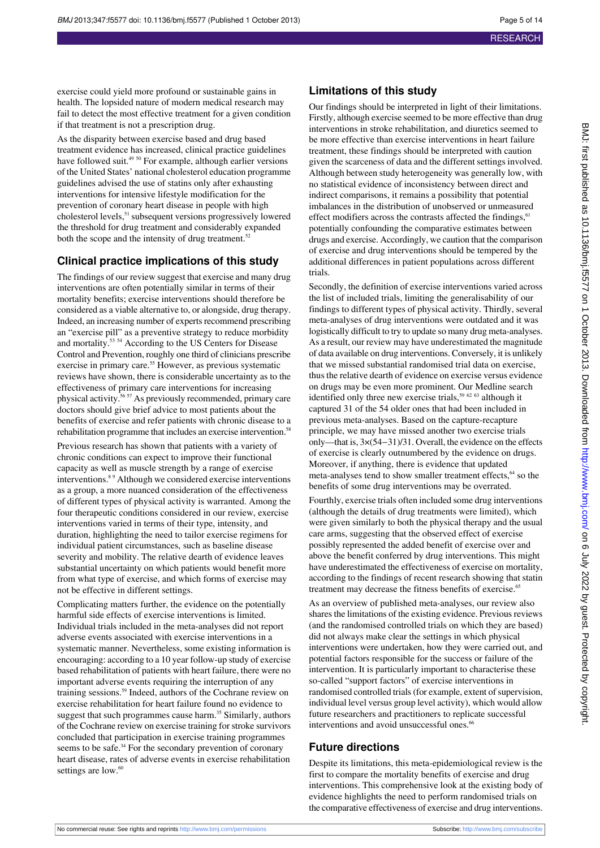exercise could yield more profound or sustainable gains in health. The lopsided nature of modern medical research may fail to detect the most effective treatment for a given condition if that treatment is not a prescription drug.

As the disparity between exercise based and drug based treatment evidence has increased, clinical practice guidelines have followed suit.<sup>49 50</sup> For example, although earlier versions of the United States' national cholesterol education programme guidelines advised the use of statins only after exhausting interventions for intensive lifestyle modification for the prevention of coronary heart disease in people with high cholesterol levels,<sup>51</sup> subsequent versions progressively lowered the threshold for drug treatment and considerably expanded both the scope and the intensity of drug treatment.<sup>52</sup>

#### **Clinical practice implications of this study**

The findings of our review suggest that exercise and many drug interventions are often potentially similar in terms of their mortality benefits; exercise interventions should therefore be considered as a viable alternative to, or alongside, drug therapy. Indeed, an increasing number of experts recommend prescribing an "exercise pill" as a preventive strategy to reduce morbidity and mortality.53 54 According to the US Centers for Disease Control and Prevention, roughly one third of clinicians prescribe exercise in primary care.<sup>55</sup> However, as previous systematic reviews have shown, there is considerable uncertainty as to the effectiveness of primary care interventions for increasing physical activity.56 57 As previously recommended, primary care doctors should give brief advice to most patients about the benefits of exercise and refer patients with chronic disease to a rehabilitation programme that includes an exercise intervention.<sup>58</sup>

Previous research has shown that patients with a variety of chronic conditions can expect to improve their functional capacity as well as muscle strength by a range of exercise interventions.8 9 Although we considered exercise interventions as a group, a more nuanced consideration of the effectiveness of different types of physical activity is warranted. Among the four therapeutic conditions considered in our review, exercise interventions varied in terms of their type, intensity, and duration, highlighting the need to tailor exercise regimens for individual patient circumstances, such as baseline disease severity and mobility. The relative dearth of evidence leaves substantial uncertainty on which patients would benefit more from what type of exercise, and which forms of exercise may not be effective in different settings.

Complicating matters further, the evidence on the potentially harmful side effects of exercise interventions is limited. Individual trials included in the meta-analyses did not report adverse events associated with exercise interventions in a systematic manner. Nevertheless, some existing information is encouraging: according to a 10 year follow-up study of exercise based rehabilitation of patients with heart failure, there were no important adverse events requiring the interruption of any training sessions.<sup>59</sup> Indeed, authors of the Cochrane review on exercise rehabilitation for heart failure found no evidence to suggest that such programmes cause harm.<sup>35</sup> Similarly, authors of the Cochrane review on exercise training for stroke survivors concluded that participation in exercise training programmes seems to be safe.<sup>34</sup> For the secondary prevention of coronary heart disease, rates of adverse events in exercise rehabilitation settings are low.<sup>60</sup>

#### **Limitations of this study**

Our findings should be interpreted in light of their limitations. Firstly, although exercise seemed to be more effective than drug interventions in stroke rehabilitation, and diuretics seemed to be more effective than exercise interventions in heart failure treatment, these findings should be interpreted with caution given the scarceness of data and the different settings involved. Although between study heterogeneity was generally low, with no statistical evidence of inconsistency between direct and indirect comparisons, it remains a possibility that potential imbalances in the distribution of unobserved or unmeasured effect modifiers across the contrasts affected the findings, $61$ potentially confounding the comparative estimates between drugs and exercise. Accordingly, we caution that the comparison of exercise and drug interventions should be tempered by the additional differences in patient populations across different trials.

Secondly, the definition of exercise interventions varied across the list of included trials, limiting the generalisability of our findings to different types of physical activity. Thirdly, several meta-analyses of drug interventions were outdated and it was logistically difficult to try to update so many drug meta-analyses. As a result, our review may have underestimated the magnitude of data available on drug interventions. Conversely, it is unlikely that we missed substantial randomised trial data on exercise, thus the relative dearth of evidence on exercise versus evidence on drugs may be even more prominent. Our Medline search identified only three new exercise trials,<sup>59 62 63</sup> although it captured 31 of the 54 older ones that had been included in previous meta-analyses. Based on the capture-recapture principle, we may have missed another two exercise trials only—that is, 3×(54−31)/31. Overall, the evidence on the effects of exercise is clearly outnumbered by the evidence on drugs. Moreover, if anything, there is evidence that updated meta-analyses tend to show smaller treatment effects,<sup>64</sup> so the benefits of some drug interventions may be overrated.

Fourthly, exercise trials often included some drug interventions (although the details of drug treatments were limited), which were given similarly to both the physical therapy and the usual care arms, suggesting that the observed effect of exercise possibly represented the added benefit of exercise over and above the benefit conferred by drug interventions. This might have underestimated the effectiveness of exercise on mortality, according to the findings of recent research showing that statin treatment may decrease the fitness benefits of exercise.<sup>65</sup>

As an overview of published meta-analyses, our review also shares the limitations of the existing evidence. Previous reviews (and the randomised controlled trials on which they are based) did not always make clear the settings in which physical interventions were undertaken, how they were carried out, and potential factors responsible for the success or failure of the intervention. It is particularly important to characterise these so-called "support factors" of exercise interventions in randomised controlled trials (for example, extent of supervision, individual level versus group level activity), which would allow future researchers and practitioners to replicate successful interventions and avoid unsuccessful ones. $66$ 

#### **Future directions**

Despite its limitations, this meta-epidemiological review is the first to compare the mortality benefits of exercise and drug interventions. This comprehensive look at the existing body of evidence highlights the need to perform randomised trials on the comparative effectiveness of exercise and drug interventions.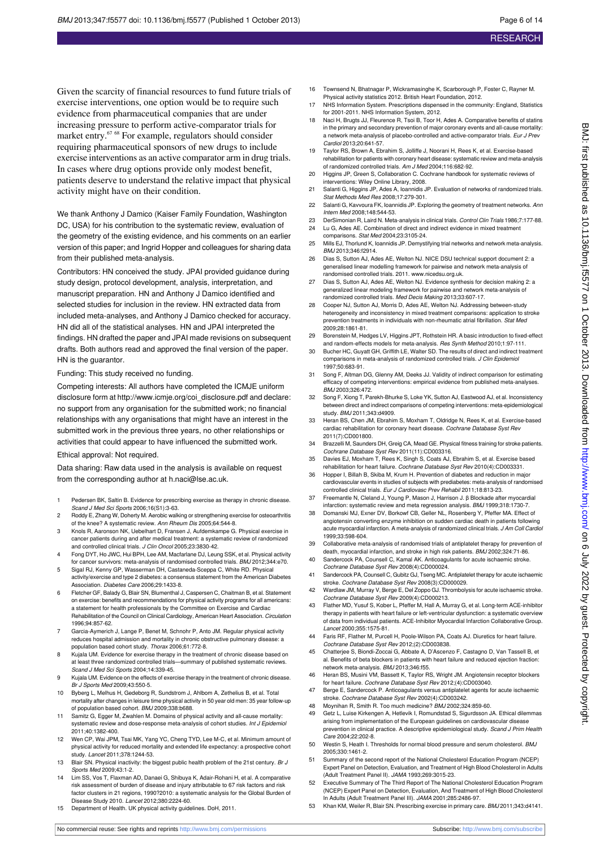Given the scarcity of financial resources to fund future trials of exercise interventions, one option would be to require such evidence from pharmaceutical companies that are under increasing pressure to perform active-comparator trials for market entry.<sup>67 68</sup> For example, regulators should consider requiring pharmaceutical sponsors of new drugs to include exercise interventions as an active comparator arm in drug trials. In cases where drug options provide only modest benefit, patients deserve to understand the relative impact that physical activity might have on their condition.

We thank Anthony J Damico (Kaiser Family Foundation, Washington DC, USA) for his contribution to the systematic review, evaluation of the geometry of the existing evidence, and his comments on an earlier version of this paper; and Ingrid Hopper and colleagues for sharing data from their published meta-analysis.

Contributors: HN conceived the study. JPAI provided guidance during study design, protocol development, analysis, interpretation, and manuscript preparation. HN and Anthony J Damico identified and selected studies for inclusion in the review. HN extracted data from included meta-analyses, and Anthony J Damico checked for accuracy. HN did all of the statistical analyses. HN and JPAI interpreted the findings. HN drafted the paper and JPAI made revisions on subsequent drafts. Both authors read and approved the final version of the paper. HN is the guarantor.

#### Funding: This study received no funding.

Competing interests: All authors have completed the ICMJE uniform disclosure form at [http://www.icmje.org/coi\\_disclosure.pdf](http://www.icmje.org/coi_disclosure.pdf) and declare: no support from any organisation for the submitted work; no financial relationships with any organisations that might have an interest in the submitted work in the previous three years, no other relationships or activities that could appear to have influenced the submitted work. Ethical approval: Not required.

Data sharing: Raw data used in the analysis is available on request from the corresponding author at h.naci@lse.ac.uk.

- 1 Pedersen BK, Saltin B. Evidence for prescribing exercise as therapy in chronic disease. Scand J Med Sci Sports 2006;16(S1):3-63.
- 2 Roddy E, Zhang W, Doherty M. Aerobic walking or strengthening exercise for osteoarthritis of the knee? A systematic review. Ann Rheum Dis 2005;64:544-8.
- 3 Knols R, Aaronson NK, Uebelhart D, Fransen J, Aufdemkampe G. Physical exercise in cancer patients during and after medical treatment: a systematic review of randomized and controlled clinical trials. J Clin Oncol 2005;23:3830-42.
- 4 Fong DYT, Ho JWC, Hui BPH, Lee AM, Macfarlane DJ, Leung SSK, et al. Physical activity er survivors: meta-analysis of randomised controlled trials. BMJ 2012;344:e70.
- 5 Sigal RJ, Kenny GP, Wasserman DH, Castaneda-Sceppa C, White RD. Physical activity/exercise and type 2 diabetes: a consensus statement from the American Diabetes Association. Diabetes Care 2006;29:1433-8.
- 6 Fletcher GF, Balady G, Blair SN, Blumenthal J, Caspersen C, Chaitman B, et al. Statement on exercise: benefits and recommendations for physical activity programs for all americans: a statement for health professionals by the Committee on Exercise and Cardiac Rehabilitation of the Council on Clinical Cardiology, American Heart Association. Circulation 1996;94:857-62.
- 7 Garcia-Aymerich J, Lange P, Benet M, Schnohr P, Anto JM. Regular physical activity reduces hospital admission and mortality in chronic obstructive pulmonary disease: a population based cohort study. Thorax 2006;61:772-8.
- 8 Kujala UM. Evidence for exercise therapy in the treatment of chronic disease based on at least three randomized controlled trials—summary of published systematic reviews. Scand J Med Sci Sports 2004;14:339-45.
- 9 Kujala UM. Evidence on the effects of exercise therapy in the treatment of chronic disease. Br J Sports Med 2009;43:550-5.
- 10 Byberg L, Melhus H, Gedeborg R, Sundstrom J, Ahlbom A, Zethelius B, et al. Total mortality after changes in leisure time physical activity in 50 year old men: 35 year follow-up of population based cohort. BMJ 2009;338:b688.
- 11 Samitz G, Egger M, Zwahlen M, Domains of physical activity and all-cause mortality: systematic review and dose-response meta-analysis of cohort studies. Int J Epidemiol 2011;40:1382-400.
- 12 Wen CP, Wai JPM, Tsai MK, Yang YC, Cheng TYD, Lee M-C, et al. Minimum amount of physical activity for reduced mortality and extended life expectancy: a prospective cohort study. Lancet 2011;378:1244-53.
- 13 Blair SN. Physical inactivity: the biggest public health problem of the 21st century. Br J Sports Med 2009;43:1-2.
- 14 Lim SS, Vos T, Flaxman AD, Danaei G, Shibuya K, Adair-Rohani H, et al. A comparative risk assessment of burden of disease and injury attributable to 67 risk factors and risk factor clusters in 21 regions, 1990?2010: a systematic analysis for the Global Burden of Disease Study 2010. Lancet 2012;380:2224-60.
- 15 Department of Health. UK physical activity guidelines. DoH, 2011.
- 16 Townsend N, Bhatnagar P, Wickramasinghe K, Scarborough P, Foster C, Rayner M. Physical activity statistics 2012. British Heart Foundation, 2012.
- 17 NHS Information System. Prescriptions dispensed in the community: England, Statistics for 2001-2011. NHS Information System, 2012.
- 18 Naci H, Brugts JJ, Fleurence R, Tsoi B, Toor H, Ades A. Comparative benefits of statins in the primary and secondary prevention of major coronary events and all-cause mortality: a network meta-analysis of placebo-controlled and active-comparator trials. Eur J Prev Cardiol 2013;20:641-57.
- 19 Taylor RS, Brown A, Ebrahim S, Jolliffe J, Noorani H, Rees K, et al. Exercise-based rehabilitation for patients with coronary heart disease: systematic review and meta-analysis of randomized controlled trials. Am J Med 2004;116:682-92.
- 20 Higgins JP, Green S, Collaboration C. Cochrane handbook for systematic reviews of interventions: Wiley Online Library, 2008.
- 21 Salanti G, Higgins JP, Ades A, Ioannidis JP. Evaluation of networks of randomized trials. Stat Methods Med Res 2008;17:279-301.
- 22 Salanti G, Kavvoura FK, Ioannidis JP. Exploring the geometry of treatment networks. Ann Intern Med 2008;148:544-53.
- 23 DerSimonian R, Laird N. Meta-analysis in clinical trials. Control Clin Trials 1986;7:177-88. 24 Lu G, Ades AE. Combination of direct and indirect evidence in mixed treatment
- comparisons. Stat Med 2004;23:3105-24. 25 Mills EJ, Thorlund K, Ioannidis JP. Demystifying trial networks and network meta-analysis.
- BMJ 2013;346:f2914.
- 26 Dias S, Sutton AJ, Ades AE, Welton NJ. NICE DSU technical support document 2: a generalised linear modelling framework for pairwise and network meta-analysis of randomised controlled trials. 2011. [www.nicedsu.org.uk.](http://www.nicedsu.org.uk)
- 27 Dias S, Sutton AJ, Ades AE, Welton NJ. Evidence synthesis for decision making 2: a generalized linear modeling framework for pairwise and network meta-analysis of randomized controlled trials. Med Decis Making 2013;33:607-17.
- Cooper NJ, Sutton AJ, Morris D, Ades AE, Welton NJ. Addressing between-study heterogeneity and inconsistency in mixed treatment comparisons: application to stroke prevention treatments in individuals with non-rheumatic atrial fibrillation. Stat Med .<br>2009:28:1861-81.
- 29 Borenstein M, Hedges LV, Higgins JPT, Rothstein HR. A basic introduction to fixed-effect
- and random-effects models for meta-analysis. *Res Synth Method* 2010;1:97-111.<br>30 Bucher HC, Guyatt GH, Griffith LE, Walter SD. The results of direct and indirect treatment comparisons in meta-analysis of randomized controlled trials. J Clin Epidemiol 1997;50:683-91.
- 31 Song F, Altman DG, Glenny AM, Deeks JJ. Validity of indirect comparison for estimating efficacy of competing interventions: empirical evidence from published meta-analyses. BMJ 2003;326:472.
- 32 Song F, Xiong T, Parekh-Bhurke S, Loke YK, Sutton AJ, Eastwood AJ, et al. Inconsistency between direct and indirect comparisons of competing interventions: meta-epidemiological study. BMJ 2011;343:d4909.
- 33 Heran BS, Chen JM, Ebrahim S, Moxham T, Oldridge N, Rees K, et al. Exercise-based cardiac rehabilitation for coronary heart disease. Cochrane Database Syst Rev 2011(7):CD001800.
- 34 Brazzelli M, Saunders DH, Greig CA, Mead GE. Physical fitness training for stroke patients. Cochrane Database Syst Rev 2011(11):CD003316.
- 35 Davies EJ, Moxham T, Rees K, Singh S, Coats AJ, Ebrahim S, et al. Exercise based rehabilitation for heart failure. Cochrane Database Syst Rev 2010(4):CD003331.
- 36 Hopper I, Billah B, Skiba M, Krum H. Prevention of diabetes and reduction in major cardiovascular events in studies of subjects with prediabetes: meta-analysis of randomised controlled clinical trials. Eur J Cardiovasc Prev Rehabil 2011;18:813-23.
- 37 Freemantle N, Cleland J, Young P, Mason J, Harrison J. β Blockade after myocardial infarction: systematic review and meta regression analysis. BMJ 1999;318:1730-7.
- 38 Domanski MJ, Exner DV, Borkowf CB, Geller NL, Rosenberg Y, Pfeffer MA. Effect of angiotensin converting enzyme inhibition on sudden cardiac death in patients following acute myocardial infarction. A meta-analysis of randomized clinical trials. J Am Coll Cardiol 1999;33:598-604.
- 39 Collaborative meta-analysis of randomised trials of antiplatelet therapy for prevention of death, myocardial infarction, and stroke in high risk patients. BMJ 2002;324:71-86.
- 40 Sandercock PA, Counsell C, Kamal AK. Anticoagulants for acute ischaemic stroke. Cochrane Database Syst Rev 2008(4):CD000024. 41 Sandercock PA, Counsell C, Gubitz GJ, Tseng MC. Antiplatelet therapy for acute ischaemic
- stroke. Cochrane Database Syst Rev 2008(3):CD000029.
- 42 Wardlaw JM, Murray V, Berge E, Del Zoppo GJ. Thrombolysis for acute ischaemic stroke. Cochrane Database Syst Rev 2009(4):CD000213.
- 43 Flather MD, Yusuf S, Kober L, Pfeffer M, Hall A, Murray G, et al. Long-term ACE-inhibitor therapy in patients with heart failure or left-ventricular dysfunction: a systematic overview of data from individual patients. ACE-Inhibitor Myocardial Infarction Collaborative Group. Lancet 2000;355:1575-81.
- 44 Faris RF, Flather M, Purcell H, Poole-Wilson PA, Coats AJ. Diuretics for heart failure. Cochrane Database Syst Rev 2012;(2):CD003838.
- 45 Chatterjee S, Biondi-Zoccai G, Abbate A, D'Ascenzo F, Castagno D, Van Tassell B, et al. Benefits of beta blockers in patients with heart failure and reduced ejection fraction: network meta-analysis. BMJ 2013;346:f55.
- Heran BS, Musini VM, Bassett K, Taylor RS, Wright JM. Angiotensin receptor blockers for heart failure. Cochrane Database Syst Rev 2012;(4):CD003040.
- 47 Berge E, Sandercock P. Anticoagulants versus antiplatelet agents for acute ischaemic stroke. Cochrane Database Syst Rev 2002(4):CD003242.
- 48 Moynihan R, Smith R. Too much medicine? BMJ 2002;324:859-60.
- 49 Getz L, Luise Kirkengen A, Hetlevik I, Romundstad S, Sigurdsson JA. Ethical dilemmas arising from implementation of the European guidelines on cardiovascular disease prevention in clinical practice. A descriptive epidemiological study. Scand J Prim Health Care 2004;22:202-8.
- 50 Westin S, Heath I. Thresholds for normal blood pressure and serum cholesterol. BMJ 2005;330:1461-2.
- 51 Summary of the second report of the National Cholesterol Education Program (NCEP) Expert Panel on Detection, Evaluation, and Treatment of High Blood Cholesterol in Adults (Adult Treatment Panel II). JAMA 1993;269:3015-23.
- 52 Executive Summary of The Third Report of The National Cholesterol Education Program (NCEP) Expert Panel on Detection, Evaluation, And Treatment of High Blood Cholesterol In Adults (Adult Treatment Panel III). JAMA 2001;285:2486-97.
- 53 Khan KM, Weiler R, Blair SN. Prescribing exercise in primary care. BMJ 2011;343:d4141.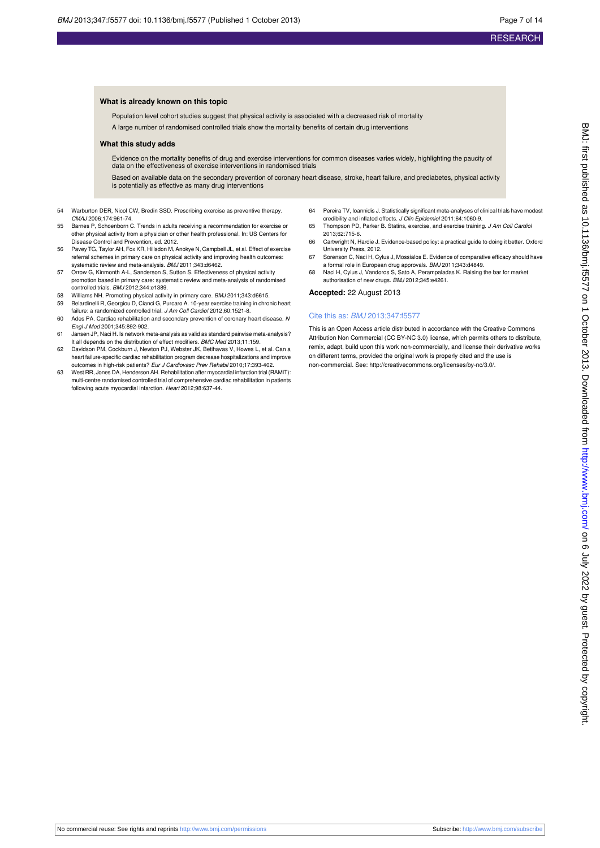#### **What is already known on this topic**

Population level cohort studies suggest that physical activity is associated with a decreased risk of mortality

A large number of randomised controlled trials show the mortality benefits of certain drug interventions

#### **What this study adds**

Evidence on the mortality benefits of drug and exercise interventions for common diseases varies widely, highlighting the paucity of data on the effectiveness of exercise interventions in randomised trials

Based on available data on the secondary prevention of coronary heart disease, stroke, heart failure, and prediabetes, physical activity is potentially as effective as many drug interventions

- 54 Warburton DER, Nicol CW, Bredin SSD. Prescribing exercise as preventive therapy. CMAJ 2006;174:961-74.
- 55 Barnes P, Schoenborn C. Trends in adults receiving a recommendation for exercise or other physical activity from a physician or other health professional. In: US Centers for Disease Control and Prevention, ed. 2012.
- 56 Pavey TG, Taylor AH, Fox KR, Hillsdon M, Anokye N, Campbell JL, et al. Effect of exercise referral schemes in primary care on physical activity and improving health outcomes: systematic review and meta-analysis. BMJ 2011;343:d6462.
- 57 Orrow G, Kinmonth A-L, Sanderson S, Sutton S. Effectiveness of physical activity promotion based in primary care: systematic review and meta-analysis of randomised controlled trials. BMJ 2012;344:e1389.
- 58 Williams NH. Promoting physical activity in primary care. BMJ 2011;343:d6615. 59 Belardinelli R, Georgiou D, Cianci G, Purcaro A. 10-year exercise training in chronic heart
- failure: a randomized controlled trial. J Am Coll Cardiol 2012;60:1521-8. 60 Ades PA. Cardiac rehabilitation and secondary prevention of coronary heart disease. N Engl J Med 2001;345:892-902.
- 61 Jansen JP, Naci H. Is network meta-analysis as valid as standard pairwise meta-analysis? It all depends on the distribution of effect modifiers. BMC Med 2013;11:159.
- 62 Davidson PM, Cockburn J, Newton PJ, Webster JK, Betihavas V, Howes L, et al. Can a heart failure-specific cardiac rehabilitation program decrease hospitalizations and improve outcomes in high-risk patients? Eur J Cardiovasc Prev Rehabil 2010;17:393-402.
- 63 West RR, Jones DA, Henderson AH. Rehabilitation after myocardial infarction trial (RAMIT): multi-centre randomised controlled trial of comprehensive cardiac rehabilitation in patients following acute myocardial infarction. Heart 2012;98:637-44.
- 64 Pereira TV, Ioannidis J. Statistically significant meta-analyses of clinical trials have modest credibility and inflated effects. J Clin Epidemiol 2011;64:1060-9.
- 65 Thompson PD, Parker B. Statins, exercise, and exercise training. J Am Coll Cardiol 2013;62:715-6.
- 66 Cartwright N, Hardie J. Evidence-based policy: a practical guide to doing it better. Oxford University Press, 2012.
- 67 Sorenson C, Naci H, Cylus J, Mossialos E. Evidence of comparative efficacy should have a formal role in European drug approvals. BMJ 2011;343:d4849.
- 68 Naci H, Cylus J, Vandoros S, Sato A, Perampaladas K. Raising the bar for market authorisation of new drugs. BMJ 2012;345:e4261.

**Accepted:** 22 August 2013

#### Cite this as: BMJ 2013;347:f5577

This is an Open Access article distributed in accordance with the Creative Commons Attribution Non Commercial (CC BY-NC 3.0) license, which permits others to distribute, remix, adapt, build upon this work non-commercially, and license their derivative works on different terms, provided the original work is properly cited and the use is non-commercial. See:<http://creativecommons.org/licenses/by-nc/3.0/>.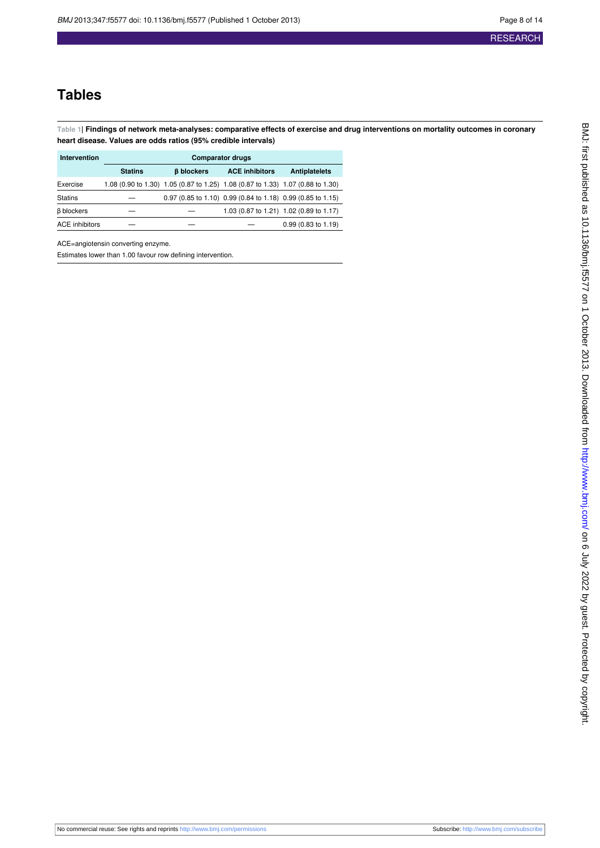## **Tables**

<span id="page-7-0"></span>**Table 1| Findings of network meta-analyses: comparative effects of exercise and drug interventions on mortality outcomes in coronary heart disease. Values are odds ratios (95% credible intervals)**

| <b>Comparator drugs</b> |                   |                       |                                                                                                                                                |
|-------------------------|-------------------|-----------------------|------------------------------------------------------------------------------------------------------------------------------------------------|
| <b>Statins</b>          | <b>B</b> blockers | <b>ACE inhibitors</b> | <b>Antiplatelets</b>                                                                                                                           |
|                         |                   |                       |                                                                                                                                                |
|                         |                   |                       |                                                                                                                                                |
|                         |                   |                       | 1.03 (0.87 to 1.21) 1.02 (0.89 to 1.17)                                                                                                        |
|                         |                   |                       | $0.99(0.83 \text{ to } 1.19)$                                                                                                                  |
|                         |                   |                       | 1.08 (0.90 to 1.30) 1.05 (0.87 to 1.25) 1.08 (0.87 to 1.33) 1.07 (0.88 to 1.30)<br>0.97 (0.85 to 1.10) 0.99 (0.84 to 1.18) 0.99 (0.85 to 1.15) |

ACE=angiotensin converting enzyme.

Estimates lower than 1.00 favour row defining intervention.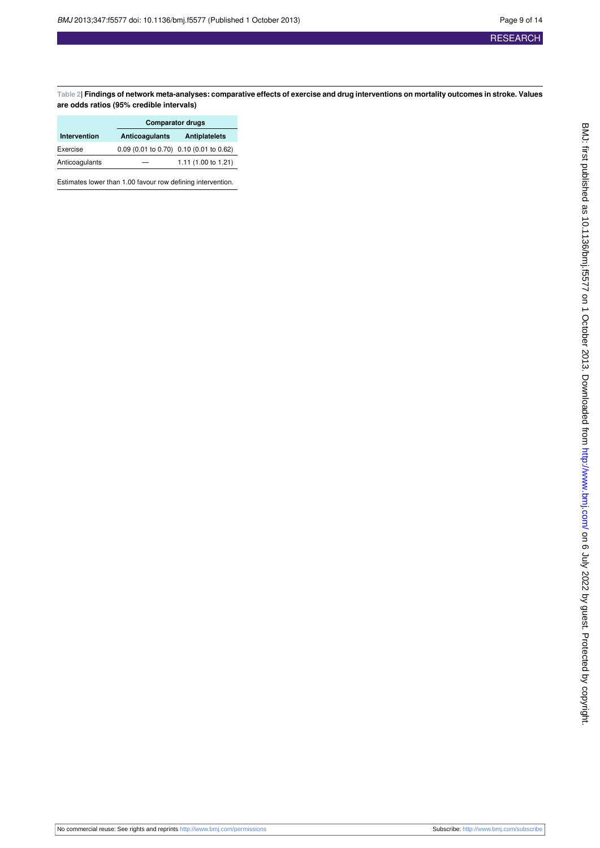<span id="page-8-0"></span>**Table 2| Findings of network meta-analyses: comparative effects of exercise and drug interventions on mortality outcomes in stroke. Values are odds ratios (95% credible intervals)**

|                     | <b>Comparator drugs</b> |                                         |  |
|---------------------|-------------------------|-----------------------------------------|--|
| <b>Intervention</b> | <b>Anticoagulants</b>   | <b>Antiplatelets</b>                    |  |
| Exercise            |                         | 0.09 (0.01 to 0.70) 0.10 (0.01 to 0.62) |  |
| Anticoagulants      | _                       | 1.11 (1.00 to 1.21)                     |  |

Estimates lower than 1.00 favour row defining intervention.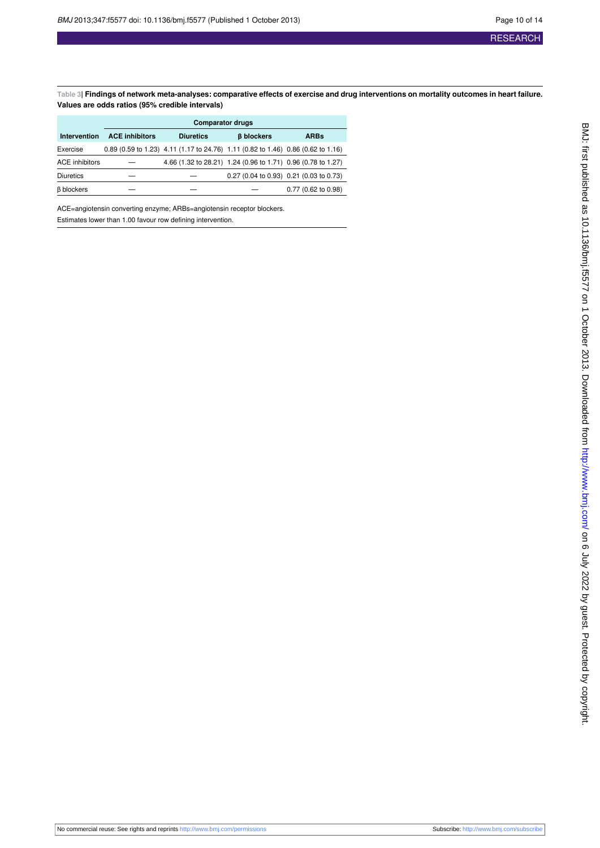<span id="page-9-0"></span>**Table 3| Findings of network meta-analyses: comparative effects of exercise and drug interventions on mortality outcomes in heart failure. Values are odds ratios (95% credible intervals)**

|                       | <b>Comparator drugs</b> |                                                                                  |                                         |                     |
|-----------------------|-------------------------|----------------------------------------------------------------------------------|-----------------------------------------|---------------------|
| <b>Intervention</b>   | <b>ACE inhibitors</b>   | <b>Diuretics</b>                                                                 | <b>B</b> blockers                       | <b>ARBs</b>         |
| Exercise              |                         | 0.89 (0.59 to 1.23) 4.11 (1.17 to 24.76) 1.11 (0.82 to 1.46) 0.86 (0.62 to 1.16) |                                         |                     |
| <b>ACE</b> inhibitors |                         | 4.66 (1.32 to 28.21) 1.24 (0.96 to 1.71) 0.96 (0.78 to 1.27)                     |                                         |                     |
| <b>Diuretics</b>      |                         |                                                                                  | 0.27 (0.04 to 0.93) 0.21 (0.03 to 0.73) |                     |
| <b>B</b> blockers     |                         |                                                                                  |                                         | 0.77 (0.62 to 0.98) |

ACE=angiotensin converting enzyme; ARBs=angiotensin receptor blockers. Estimates lower than 1.00 favour row defining intervention.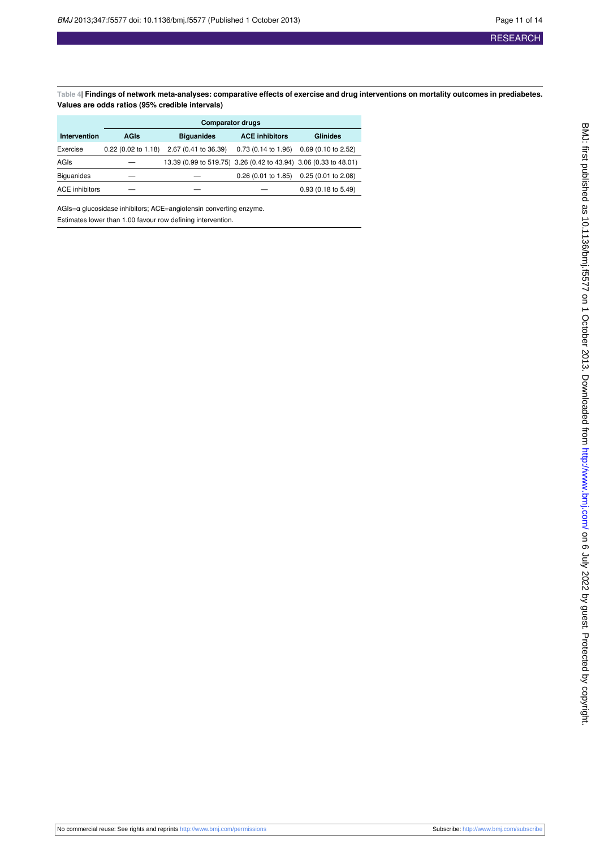<span id="page-10-0"></span>**Table 4| Findings of network meta-analyses: comparative effects of exercise and drug interventions on mortality outcomes in prediabetes. Values are odds ratios (95% credible intervals)**

| <b>Comparator drugs</b> |                      |                       |                                                                  |
|-------------------------|----------------------|-----------------------|------------------------------------------------------------------|
| AGIs                    | <b>Biguanides</b>    | <b>ACE inhibitors</b> | Glinides                                                         |
| $0.22$ (0.02 to 1.18)   | 2.67 (0.41 to 36.39) | 0.73 (0.14 to 1.96)   | $0.69$ (0.10 to 2.52)                                            |
|                         |                      |                       |                                                                  |
|                         |                      | 0.26(0.01 to 1.85)    | $0.25(0.01)$ to 2.08)                                            |
|                         |                      |                       | 0.93 (0.18 to 5.49)                                              |
|                         |                      |                       | 13.39 (0.99 to 519.75) 3.26 (0.42 to 43.94) 3.06 (0.33 to 48.01) |

AGIs=α glucosidase inhibitors; ACE=angiotensin converting enzyme. Estimates lower than 1.00 favour row defining intervention.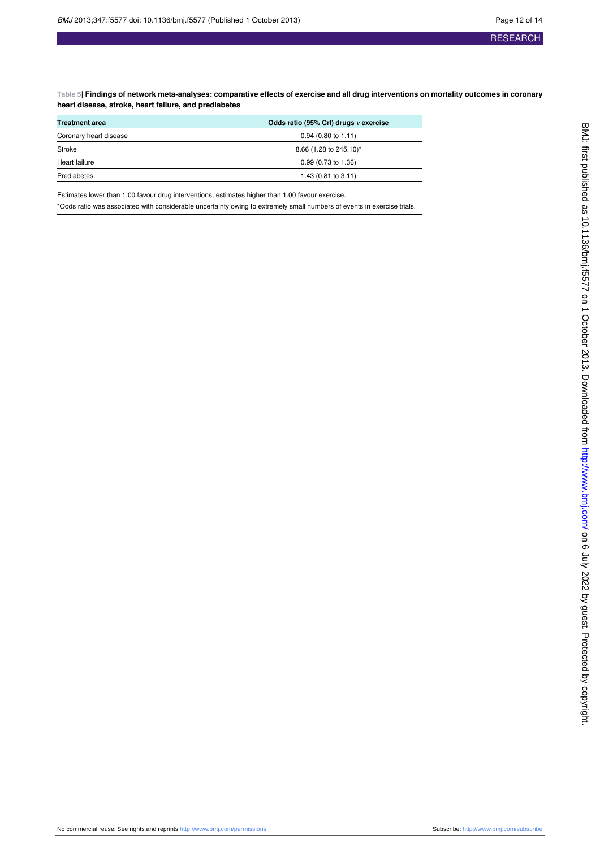<span id="page-11-0"></span>**Table 5| Findings of network meta-analyses: comparative effects of exercise and all drug interventions on mortality outcomes in coronary heart disease, stroke, heart failure, and prediabetes**

| <b>Treatment area</b>  | Odds ratio (95% Crl) drugs $\nu$ exercise |  |
|------------------------|-------------------------------------------|--|
| Coronary heart disease | $0.94$ (0.80 to 1.11)                     |  |
| Stroke                 | 8.66 (1.28 to 245.10)*                    |  |
| Heart failure          | 0.99 (0.73 to 1.36)                       |  |
| Prediabetes            | 1.43 $(0.81$ to 3.11)                     |  |

Estimates lower than 1.00 favour drug interventions, estimates higher than 1.00 favour exercise.

\*Odds ratio was associated with considerable uncertainty owing to extremely small numbers of events in exercise trials.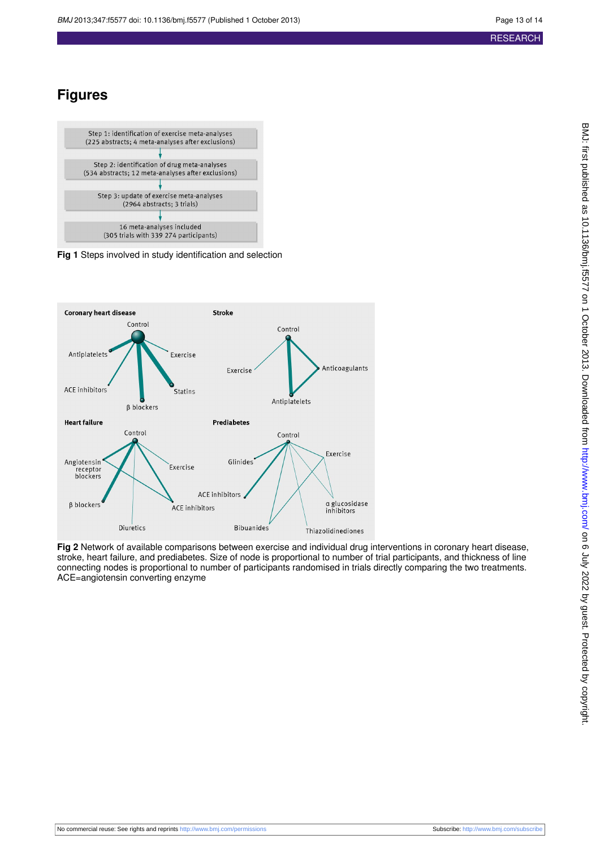## **Figures**

<span id="page-12-0"></span>

<span id="page-12-1"></span>



**Fig 2** Network of available comparisons between exercise and individual drug interventions in coronary heart disease, stroke, heart failure, and prediabetes. Size of node is proportional to number of trial participants, and thickness of line connecting nodes is proportional to number of participants randomised in trials directly comparing the two treatments. ACE=angiotensin converting enzyme